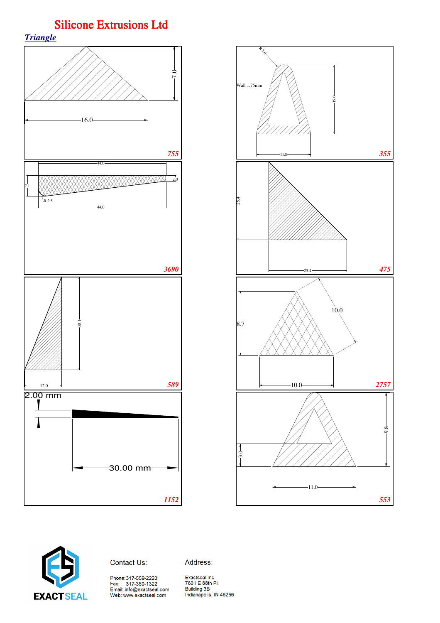





Contact Us:

Address:

Phone: 317-559-2220<br>Fax: 317-350-1322<br>Email: info@exactseal.com Web: www.exactseal.com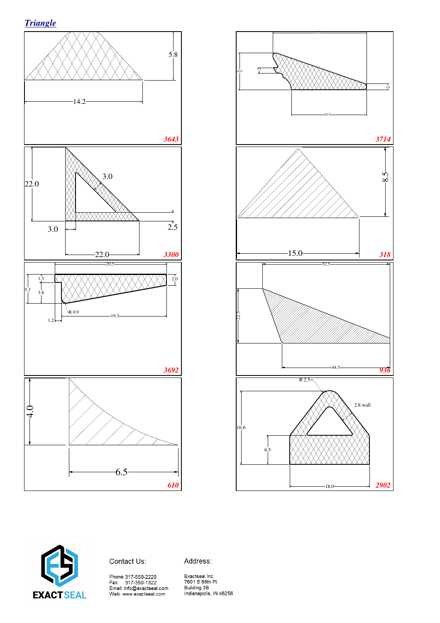





Contact Us:

Address: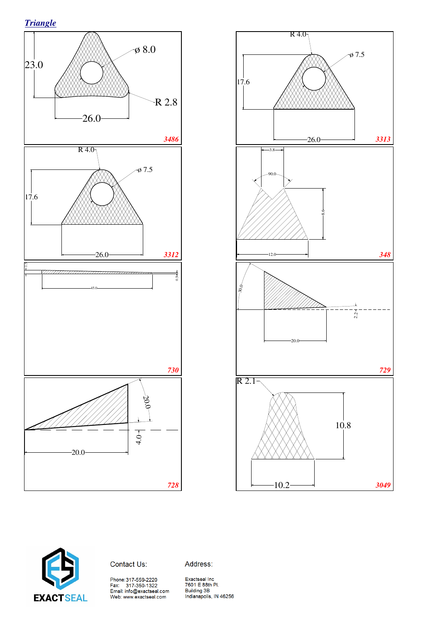*Triangle*







Contact Us:

Address:

Phone:317-559-2220<br>Fax: 317-350-1322<br>Email: info@exactseal.com<br>Web: www.exactseal.com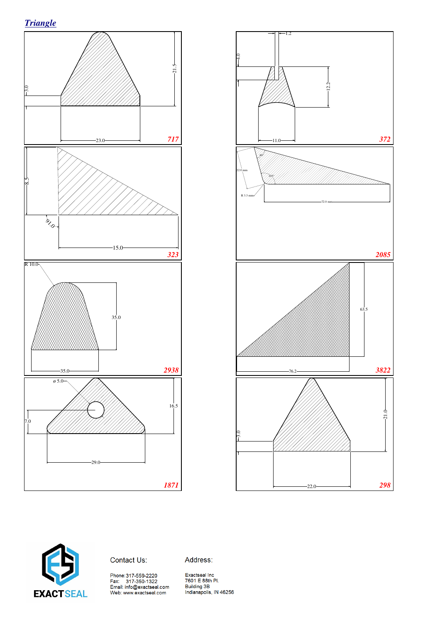





Contact Us:

Address: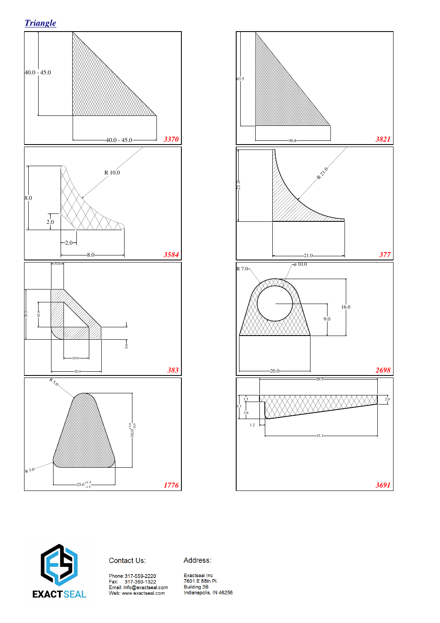





Contact Us:

Address: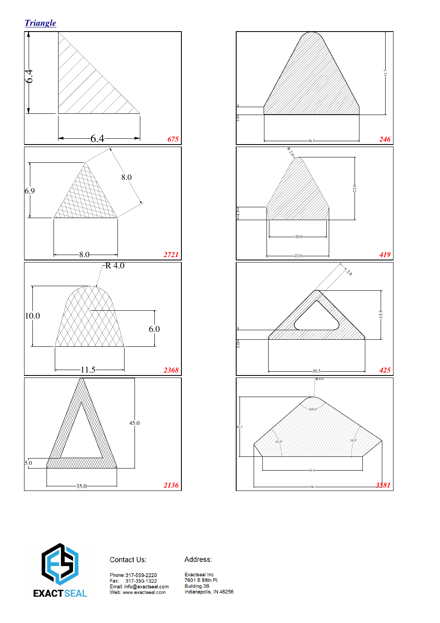





Contact Us:

Address: